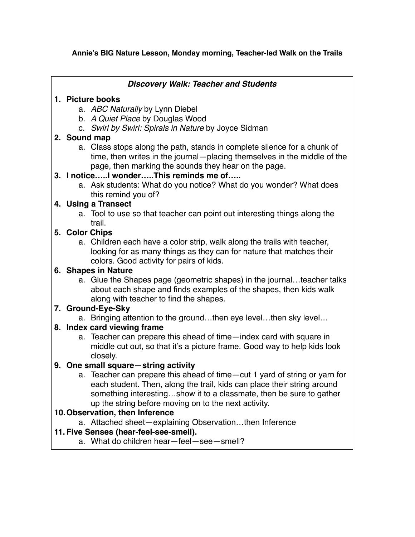#### **Annie's BIG Nature Lesson, Monday morning, Teacher-led Walk on the Trails**

#### *Discovery Walk: Teacher and Students*

#### **1. Picture books**

- a. *ABC Naturally* by Lynn Diebel
- b. *A Quiet Place* by Douglas Wood
- c. *Swirl by Swirl: Spirals in Nature* by Joyce Sidman

# **2. Sound map**

a. Class stops along the path, stands in complete silence for a chunk of time, then writes in the journal—placing themselves in the middle of the page, then marking the sounds they hear on the page.

#### **3. I notice…..I wonder…..This reminds me of…..**

a. Ask students: What do you notice? What do you wonder? What does this remind you of?

# **4. Using a Transect**

a. Tool to use so that teacher can point out interesting things along the trail.

# **5. Color Chips**

a. Children each have a color strip, walk along the trails with teacher, looking for as many things as they can for nature that matches their colors. Good activity for pairs of kids.

# **6. Shapes in Nature**

a. Glue the Shapes page (geometric shapes) in the journal…teacher talks about each shape and finds examples of the shapes, then kids walk along with teacher to find the shapes.

# **7. Ground-Eye-Sky**

a. Bringing attention to the ground…then eye level…then sky level…

# **8. Index card viewing frame**

a. Teacher can prepare this ahead of time—index card with square in middle cut out, so that it's a picture frame. Good way to help kids look closely.

# **9. One small square—string activity**

a. Teacher can prepare this ahead of time—cut 1 yard of string or yarn for each student. Then, along the trail, kids can place their string around something interesting…show it to a classmate, then be sure to gather up the string before moving on to the next activity.

# **10.Observation, then Inference**

a. Attached sheet—explaining Observation…then Inference

# **11. Five Senses (hear-feel-see-smell).**

a. What do children hear—feel—see—smell?